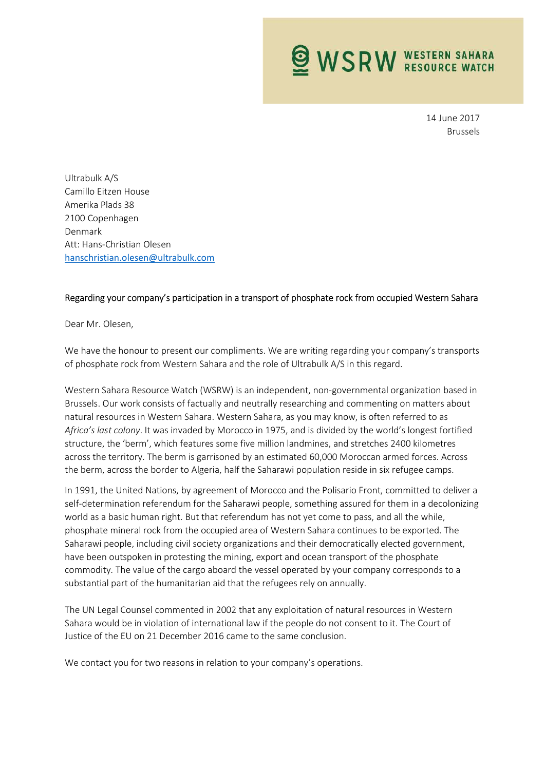**WSRW WESTERN SAHARA** 

14 June 2017 Brussels

Ultrabulk A/S Camillo Eitzen House Amerika Plads 38 2100 Copenhagen Denmark Att: Hans-Christian Olesen hanschristian.olesen@ultrabulk.com

## Regarding your company's participation in a transport of phosphate rock from occupied Western Sahara

Dear Mr. Olesen,

We have the honour to present our compliments. We are writing regarding your company's transports of phosphate rock from Western Sahara and the role of Ultrabulk A/S in this regard.

Western Sahara Resource Watch (WSRW) is an independent, non-governmental organization based in Brussels. Our work consists of factually and neutrally researching and commenting on matters about natural resources in Western Sahara. Western Sahara, as you may know, is often referred to as Africa's last colony. It was invaded by Morocco in 1975, and is divided by the world's longest fortified structure, the 'berm', which features some five million landmines, and stretches 2400 kilometres across the territory. The berm is garrisoned by an estimated 60,000 Moroccan armed forces. Across the berm, across the border to Algeria, half the Saharawi population reside in six refugee camps.

In 1991, the United Nations, by agreement of Morocco and the Polisario Front, committed to deliver a self-determination referendum for the Saharawi people, something assured for them in a decolonizing world as a basic human right. But that referendum has not yet come to pass, and all the while, phosphate mineral rock from the occupied area of Western Sahara continues to be exported. The Saharawi people, including civil society organizations and their democratically elected government, have been outspoken in protesting the mining, export and ocean transport of the phosphate commodity. The value of the cargo aboard the vessel operated by your company corresponds to a substantial part of the humanitarian aid that the refugees rely on annually.

The UN Legal Counsel commented in 2002 that any exploitation of natural resources in Western Sahara would be in violation of international law if the people do not consent to it. The Court of Justice of the EU on 21 December 2016 came to the same conclusion.

We contact you for two reasons in relation to your company's operations.